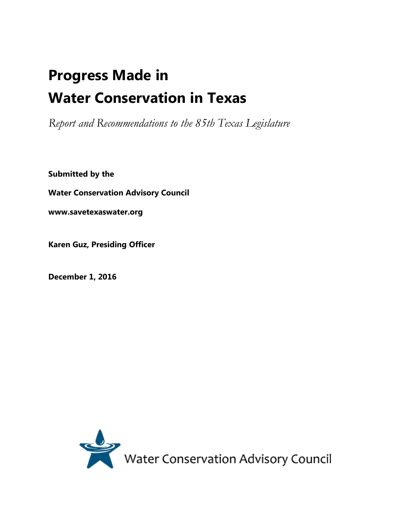# **Progress Made in Water Conservation in Texas**

*Report and Recommendations to the 85th Texas Legislature* 

**Submitted by the**

**Water Conservation Advisory Council**

**www.savetexaswater.org**

**Karen Guz, Presiding Officer**

**December 1, 2016**

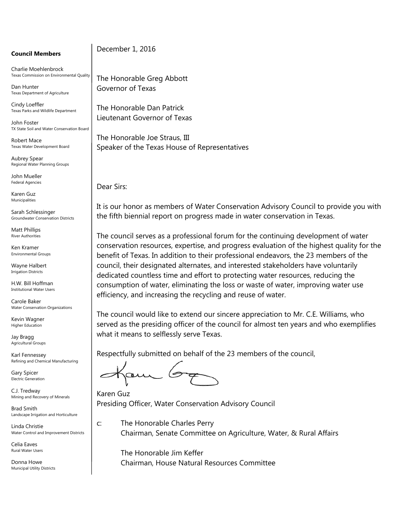#### **Council Members**

Charlie Moehlenbrock Texas Commission on Environmental Quality

Dan Hunter Texas Department of Agriculture

Cindy Loeffler Texas Parks and Wildlife Department

John Foster TX State Soil and Water Conservation Board

Robert Mace Texas Water Development Board

Aubrey Spear Regional Water Planning Groups

John Mueller Federal Agencies

Karen Guz Municipalities

Sarah Schlessinger Groundwater Conservation Districts

Matt Phillips River Authorities

Ken Kramer Environmental Groups

Wayne Halbert Irrigation Districts

H.W. Bill Hoffman Institutional Water Users

Carole Baker Water Conservation Organizations

Kevin Wagner Higher Education

Jay Bragg Agricultural Groups

Karl Fennessey Refining and Chemical Manufacturing

Gary Spicer Electric Generation

C.J. Tredway Mining and Recovery of Minerals

Brad Smith Landscape Irrigation and Horticulture

Linda Christie Water Control and Improvement Districts

Celia Eaves Rural Water Users

Donna Howe Municipal Utility Districts December 1, 2016

The Honorable Greg Abbott Governor of Texas

The Honorable Dan Patrick Lieutenant Governor of Texas

The Honorable Joe Straus, III Speaker of the Texas House of Representatives

Dear Sirs:

It is our honor as members of Water Conservation Advisory Council to provide you with the fifth biennial report on progress made in water conservation in Texas.

The council serves as a professional forum for the continuing development of water conservation resources, expertise, and progress evaluation of the highest quality for the benefit of Texas. In addition to their professional endeavors, the 23 members of the council, their designated alternates, and interested stakeholders have voluntarily dedicated countless time and effort to protecting water resources, reducing the consumption of water, eliminating the loss or waste of water, improving water use efficiency, and increasing the recycling and reuse of water.

The council would like to extend our sincere appreciation to Mr. C.E. Williams, who served as the presiding officer of the council for almost ten years and who exemplifies what it means to selflessly serve Texas.

Respectfully submitted on behalf of the 23 members of the council,

Karen Guz Presiding Officer, Water Conservation Advisory Council

c: The Honorable Charles Perry Chairman, Senate Committee on Agriculture, Water, & Rural Affairs

The Honorable Jim Keffer Chairman, House Natural Resources Committee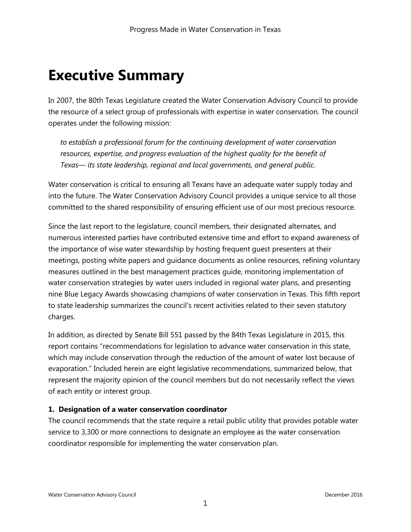# **Executive Summary**

In 2007, the 80th Texas Legislature created the Water Conservation Advisory Council to provide the resource of a select group of professionals with expertise in water conservation. The council operates under the following mission:

*to establish a professional forum for the continuing development of water conservation resources, expertise, and progress evaluation of the highest quality for the benefit of Texas— its state leadership, regional and local governments, and general public*.

Water conservation is critical to ensuring all Texans have an adequate water supply today and into the future. The Water Conservation Advisory Council provides a unique service to all those committed to the shared responsibility of ensuring efficient use of our most precious resource.

Since the last report to the legislature, council members, their designated alternates, and numerous interested parties have contributed extensive time and effort to expand awareness of the importance of wise water stewardship by hosting frequent guest presenters at their meetings, posting white papers and guidance documents as online resources, refining voluntary measures outlined in the best management practices guide, monitoring implementation of water conservation strategies by water users included in regional water plans, and presenting nine Blue Legacy Awards showcasing champions of water conservation in Texas. This fifth report to state leadership summarizes the council's recent activities related to their seven statutory charges.

In addition, as directed by Senate Bill 551 passed by the 84th Texas Legislature in 2015, this report contains "recommendations for legislation to advance water conservation in this state, which may include conservation through the reduction of the amount of water lost because of evaporation." Included herein are eight legislative recommendations, summarized below, that represent the majority opinion of the council members but do not necessarily reflect the views of each entity or interest group.

#### **1. Designation of a water conservation coordinator**

The council recommends that the state require a retail public utility that provides potable water service to 3,300 or more connections to designate an employee as the water conservation coordinator responsible for implementing the water conservation plan.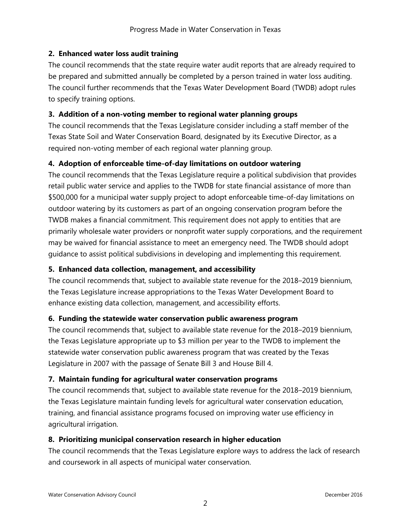### **2. Enhanced water loss audit training**

The council recommends that the state require water audit reports that are already required to be prepared and submitted annually be completed by a person trained in water loss auditing. The council further recommends that the Texas Water Development Board (TWDB) adopt rules to specify training options.

### **3. Addition of a non-voting member to regional water planning groups**

The council recommends that the Texas Legislature consider including a staff member of the Texas State Soil and Water Conservation Board, designated by its Executive Director, as a required non-voting member of each regional water planning group.

### **4. Adoption of enforceable time-of-day limitations on outdoor watering**

The council recommends that the Texas Legislature require a political subdivision that provides retail public water service and applies to the TWDB for state financial assistance of more than \$500,000 for a municipal water supply project to adopt enforceable time-of-day limitations on outdoor watering by its customers as part of an ongoing conservation program before the TWDB makes a financial commitment. This requirement does not apply to entities that are primarily wholesale water providers or nonprofit water supply corporations, and the requirement may be waived for financial assistance to meet an emergency need. The TWDB should adopt guidance to assist political subdivisions in developing and implementing this requirement.

### **5. Enhanced data collection, management, and accessibility**

The council recommends that, subject to available state revenue for the 2018–2019 biennium, the Texas Legislature increase appropriations to the Texas Water Development Board to enhance existing data collection, management, and accessibility efforts.

#### **6. Funding the statewide water conservation public awareness program**

The council recommends that, subject to available state revenue for the 2018–2019 biennium, the Texas Legislature appropriate up to \$3 million per year to the TWDB to implement the statewide water conservation public awareness program that was created by the Texas Legislature in 2007 with the passage of Senate Bill 3 and House Bill 4.

#### **7. Maintain funding for agricultural water conservation programs**

The council recommends that, subject to available state revenue for the 2018–2019 biennium, the Texas Legislature maintain funding levels for agricultural water conservation education, training, and financial assistance programs focused on improving water use efficiency in agricultural irrigation.

#### **8. Prioritizing municipal conservation research in higher education**

The council recommends that the Texas Legislature explore ways to address the lack of research and coursework in all aspects of municipal water conservation.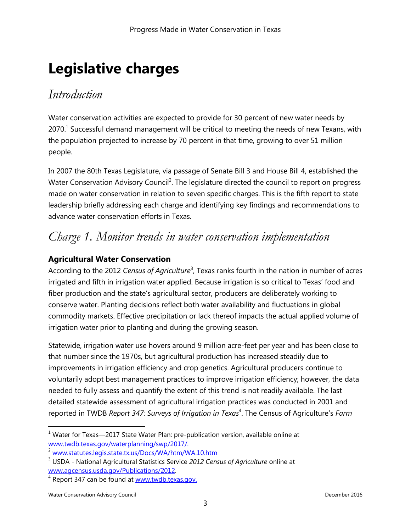# **Legislative charges**

### *Introduction*

Water conservation activities are expected to provide for 30 percent of new water needs by 2070.<sup>1</sup> Successful demand management will be critical to meeting the needs of new Texans, with the population projected to increase by 70 percent in that time, growing to over 51 million people.

In 2007 the 80th Texas Legislature, via passage of Senate Bill 3 and House Bill 4, established the Water Conservation Advisory Council<sup>2</sup>. The legislature directed the council to report on progress made on water conservation in relation to seven specific charges. This is the fifth report to state leadership briefly addressing each charge and identifying key findings and recommendations to advance water conservation efforts in Texas.

### *Charge 1. Monitor trends in water conservation implementation*

### **Agricultural Water Conservation**

According to the 2012 Census of Agriculture<sup>3</sup>, Texas ranks fourth in the nation in number of acres irrigated and fifth in irrigation water applied. Because irrigation is so critical to Texas' food and fiber production and the state's agricultural sector, producers are deliberately working to conserve water. Planting decisions reflect both water availability and fluctuations in global commodity markets. Effective precipitation or lack thereof impacts the actual applied volume of irrigation water prior to planting and during the growing season.

Statewide, irrigation water use hovers around 9 million acre-feet per year and has been close to that number since the 1970s, but agricultural production has increased steadily due to improvements in irrigation efficiency and crop genetics. Agricultural producers continue to voluntarily adopt best management practices to improve irrigation efficiency; however, the data needed to fully assess and quantify the extent of this trend is not readily available. The last detailed statewide assessment of agricultural irrigation practices was conducted in 2001 and reported in TWDB *Report 347: Surveys of Irrigation in Texas*<sup>4</sup> . The Census of Agriculture's *Farm* 

 $1$  Water for Texas—2017 State Water Plan: pre-publication version, available online at [www.twdb.texas.gov/waterplanning/swp/2017/.](http://www.twdb.texas.gov/waterplanning/swp/2017/index.asp)

<sup>2</sup> [www.statutes.legis.state.tx.us/Docs/WA/htm/WA.10.htm](http://www.statutes.legis.state.tx.us/Docs/WA/htm/WA.10.htm)

<sup>3</sup> USDA - National Agricultural Statistics Service *2012 Census of Agriculture* online at [www.agcensus.usda.gov/Publications/2012.](https://www.agcensus.usda.gov/Publications/2012/)

<sup>&</sup>lt;sup>4</sup> Report 347 can be found at **www.twdb.texas.gov.**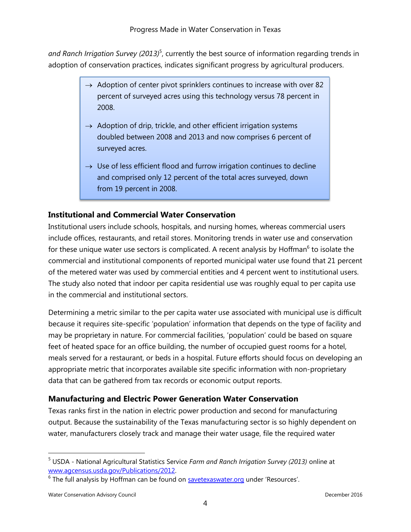and Ranch Irrigation Survey (2013)<sup>5</sup>, currently the best source of information regarding trends in adoption of conservation practices, indicates significant progress by agricultural producers.

- $\rightarrow$  Adoption of center pivot sprinklers continues to increase with over 82 percent of surveyed acres using this technology versus 78 percent in 2008.
- $\rightarrow$  Adoption of drip, trickle, and other efficient irrigation systems doubled between 2008 and 2013 and now comprises 6 percent of surveyed acres.
- $\rightarrow$  Use of less efficient flood and furrow irrigation continues to decline and comprised only 12 percent of the total acres surveyed, down from 19 percent in 2008.

### **Institutional and Commercial Water Conservation**

Institutional users include schools, hospitals, and nursing homes, whereas commercial users include offices, restaurants, and retail stores. Monitoring trends in water use and conservation for these unique water use sectors is complicated. A recent analysis by Hoffman<sup>6</sup> to isolate the commercial and institutional components of reported municipal water use found that 21 percent of the metered water was used by commercial entities and 4 percent went to institutional users. The study also noted that indoor per capita residential use was roughly equal to per capita use in the commercial and institutional sectors.

Determining a metric similar to the per capita water use associated with municipal use is difficult because it requires site-specific 'population' information that depends on the type of facility and may be proprietary in nature. For commercial facilities, 'population' could be based on square feet of heated space for an office building, the number of occupied guest rooms for a hotel, meals served for a restaurant, or beds in a hospital. Future efforts should focus on developing an appropriate metric that incorporates available site specific information with non-proprietary data that can be gathered from tax records or economic output reports.

### **Manufacturing and Electric Power Generation Water Conservation**

Texas ranks first in the nation in electric power production and second for manufacturing output. Because the sustainability of the Texas manufacturing sector is so highly dependent on water, manufacturers closely track and manage their water usage, file the required water

<sup>5</sup> USDA - National Agricultural Statistics Service *Farm and Ranch Irrigation Survey (2013)* online at [www.agcensus.usda.gov/Publications/2012.](https://www.agcensus.usda.gov/Publications/2012/)

<sup>&</sup>lt;sup>6</sup> The full analysis by Hoffman can be found on **savetexaswater.org** under 'Resources'.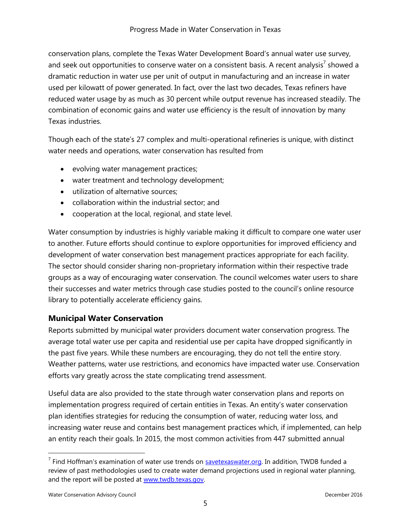conservation plans, complete the Texas Water Development Board's annual water use survey, and seek out opportunities to conserve water on a consistent basis. A recent analysis<sup>7</sup> showed a dramatic reduction in water use per unit of output in manufacturing and an increase in water used per kilowatt of power generated. In fact, over the last two decades, Texas refiners have reduced water usage by as much as 30 percent while output revenue has increased steadily. The combination of economic gains and water use efficiency is the result of innovation by many Texas industries.

Though each of the state's 27 complex and multi-operational refineries is unique, with distinct water needs and operations, water conservation has resulted from

- evolving water management practices;
- water treatment and technology development;
- utilization of alternative sources;
- collaboration within the industrial sector; and
- cooperation at the local, regional, and state level.

Water consumption by industries is highly variable making it difficult to compare one water user to another. Future efforts should continue to explore opportunities for improved efficiency and development of water conservation best management practices appropriate for each facility. The sector should consider sharing non-proprietary information within their respective trade groups as a way of encouraging water conservation. The council welcomes water users to share their successes and water metrics through case studies posted to the council's online resource library to potentially accelerate efficiency gains.

### **Municipal Water Conservation**

Reports submitted by municipal water providers document water conservation progress. The average total water use per capita and residential use per capita have dropped significantly in the past five years. While these numbers are encouraging, they do not tell the entire story. Weather patterns, water use restrictions, and economics have impacted water use. Conservation efforts vary greatly across the state complicating trend assessment.

Useful data are also provided to the state through water conservation plans and reports on implementation progress required of certain entities in Texas. An entity's water conservation plan identifies strategies for reducing the consumption of water, reducing water loss, and increasing water reuse and contains best management practices which, if implemented, can help an entity reach their goals. In 2015, the most common activities from 447 submitted annual

<sup>&</sup>lt;sup>7</sup> Find Hoffman's examination of water use trends on **savetexaswater.org.** In addition, TWDB funded a review of past methodologies used to create water demand projections used in regional water planning, and the report will be posted at [www.twdb.texas.gov.](http://www.twdb.texas.gov/)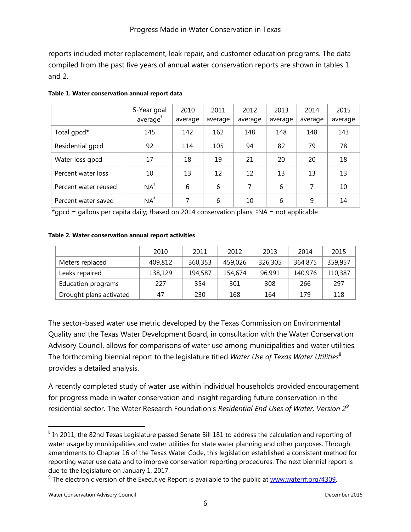reports included meter replacement, leak repair, and customer education programs. The data compiled from the past five years of annual water conservation reports are shown in tables 1 and 2.

|                      | 5-Year goal<br>average | 2010<br>average | 2011<br>average | 2012<br>average | 2013<br>average | 2014<br>average | 2015<br>average |
|----------------------|------------------------|-----------------|-----------------|-----------------|-----------------|-----------------|-----------------|
| Total gpcd*          | 145                    | 142             | 162             | 148             | 148             | 148             | 143             |
| Residential gpcd     | 92                     | 114             | 105             | 94              | 82              | 79              | 78              |
| Water loss gpcd      | 17                     | 18              | 19              | 21              | 20              | 20              | 18              |
| Percent water loss   | 10                     | 13              | 12              | 12              | 13              | 13              | 13              |
| Percent water reused | $NA^*$                 | 6               | 6               | 7               | 6               | 7               | 10              |
| Percent water saved  | $NA^*$                 | 7               | 6               | 10              | 6               | 9               | 14              |

#### **Table 1. Water conservation annual report data**

\*gpcd = gallons per capita daily; †based on 2014 conservation plans; ‡NA = not applicable

#### **Table 2. Water conservation annual report activities**

|                         | 2010    | 2011    | 2012    | 2013    | 2014    | 2015    |
|-------------------------|---------|---------|---------|---------|---------|---------|
| Meters replaced         | 409,812 | 360,353 | 459,026 | 326,305 | 364,875 | 359,957 |
| Leaks repaired          | 138,129 | 194,587 | 154,674 | 96.991  | 140,976 | 110,387 |
| Education programs      | 227     | 354     | 301     | 308     | 266     | 297     |
| Drought plans activated | 47      | 230     | 168     | 164     | 179     | 118     |

The sector-based water use metric developed by the Texas Commission on Environmental Quality and the Texas Water Development Board, in consultation with the Water Conservation Advisory Council, allows for comparisons of water use among municipalities and water utilities. The forthcoming biennial report to the legislature titled *Water Use of Texas Water Utilities*<sup>8</sup> provides a detailed analysis.

A recently completed study of water use within individual households provided encouragement for progress made in water conservation and insight regarding future conservation in the residential sector. The Water Research Foundation's *Residential End Uses of Water, Version 2<sup>9</sup>*

 $^8$  In 2011, the 82nd Texas Legislature passed Senate Bill 181 to address the calculation and reporting of water usage by municipalities and water utilities for state water planning and other purposes. Through amendments to Chapter 16 of the Texas Water Code, this legislation established a consistent method for reporting water use data and to improve conservation reporting procedures. The next biennial report is due to the legislature on January 1, 2017.

 $9$  The electronic version of the Executive Report is available to the public at www.waterrf.org/4309.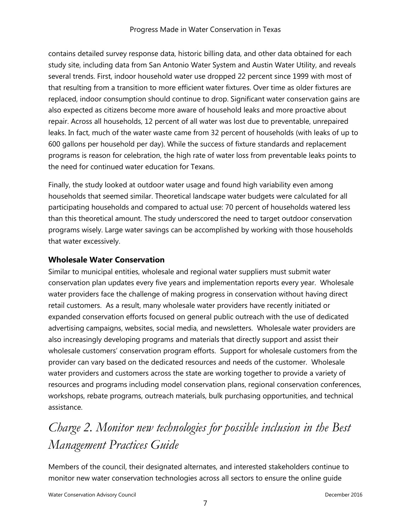contains detailed survey response data, historic billing data, and other data obtained for each study site, including data from San Antonio Water System and Austin Water Utility, and reveals several trends. First, indoor household water use dropped 22 percent since 1999 with most of that resulting from a transition to more efficient water fixtures. Over time as older fixtures are replaced, indoor consumption should continue to drop. Significant water conservation gains are also expected as citizens become more aware of household leaks and more proactive about repair. Across all households, 12 percent of all water was lost due to preventable, unrepaired leaks. In fact, much of the water waste came from 32 percent of households (with leaks of up to 600 gallons per household per day). While the success of fixture standards and replacement programs is reason for celebration, the high rate of water loss from preventable leaks points to the need for continued water education for Texans.

Finally, the study looked at outdoor water usage and found high variability even among households that seemed similar. Theoretical landscape water budgets were calculated for all participating households and compared to actual use: 70 percent of households watered less than this theoretical amount. The study underscored the need to target outdoor conservation programs wisely. Large water savings can be accomplished by working with those households that water excessively.

### **Wholesale Water Conservation**

Similar to municipal entities, wholesale and regional water suppliers must submit water conservation plan updates every five years and implementation reports every year. Wholesale water providers face the challenge of making progress in conservation without having direct retail customers. As a result, many wholesale water providers have recently initiated or expanded conservation efforts focused on general public outreach with the use of dedicated advertising campaigns, websites, social media, and newsletters. Wholesale water providers are also increasingly developing programs and materials that directly support and assist their wholesale customers' conservation program efforts. Support for wholesale customers from the provider can vary based on the dedicated resources and needs of the customer. Wholesale water providers and customers across the state are working together to provide a variety of resources and programs including model conservation plans, regional conservation conferences, workshops, rebate programs, outreach materials, bulk purchasing opportunities, and technical assistance.

# *Charge 2. Monitor new technologies for possible inclusion in the Best Management Practices Guide*

Members of the council, their designated alternates, and interested stakeholders continue to monitor new water conservation technologies across all sectors to ensure the online guide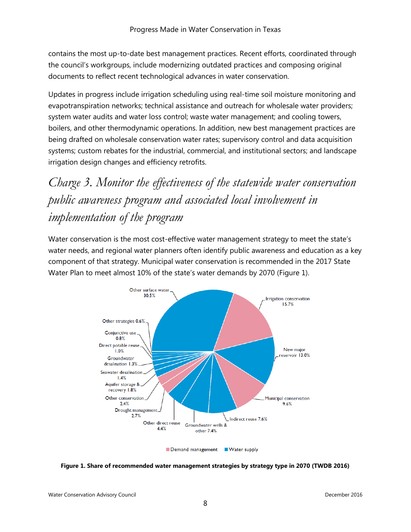contains the most up-to-date best management practices. Recent efforts, coordinated through the council's workgroups, include modernizing outdated practices and composing original documents to reflect recent technological advances in water conservation.

Updates in progress include irrigation scheduling using real-time soil moisture monitoring and evapotranspiration networks; technical assistance and outreach for wholesale water providers; system water audits and water loss control; waste water management; and cooling towers, boilers, and other thermodynamic operations. In addition, new best management practices are being drafted on wholesale conservation water rates; supervisory control and data acquisition systems; custom rebates for the industrial, commercial, and institutional sectors; and landscape irrigation design changes and efficiency retrofits.

*Charge 3. Monitor the effectiveness of the statewide water conservation public awareness program and associated local involvement in implementation of the program*

Water conservation is the most cost-effective water management strategy to meet the state's water needs, and regional water planners often identify public awareness and education as a key component of that strategy. Municipal water conservation is recommended in the 2017 State Water Plan to meet almost 10% of the state's water demands by 2070 (Figure 1).



**Figure 1. Share of recommended water management strategies by strategy type in 2070 (TWDB 2016)**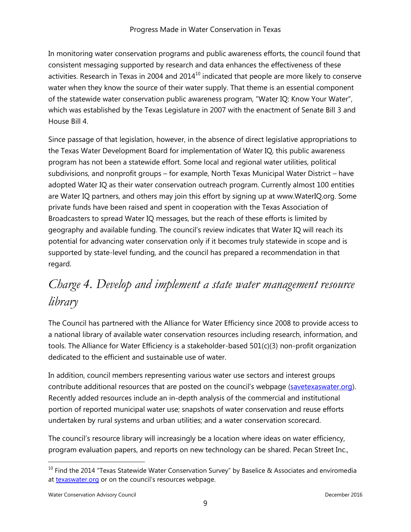In monitoring water conservation programs and public awareness efforts, the council found that consistent messaging supported by research and data enhances the effectiveness of these activities. Research in Texas in 2004 and  $2014<sup>10</sup>$  indicated that people are more likely to conserve water when they know the source of their water supply. That theme is an essential component of the statewide water conservation public awareness program, "Water IQ: Know Your Water", which was established by the Texas Legislature in 2007 with the enactment of Senate Bill 3 and House Bill 4.

Since passage of that legislation, however, in the absence of direct legislative appropriations to the Texas Water Development Board for implementation of Water IQ, this public awareness program has not been a statewide effort. Some local and regional water utilities, political subdivisions, and nonprofit groups – for example, North Texas Municipal Water District – have adopted Water IQ as their water conservation outreach program. Currently almost 100 entities are Water IQ partners, and others may join this effort by signing up at www.WaterIQ.org. Some private funds have been raised and spent in cooperation with the Texas Association of Broadcasters to spread Water IQ messages, but the reach of these efforts is limited by geography and available funding. The council's review indicates that Water IQ will reach its potential for advancing water conservation only if it becomes truly statewide in scope and is supported by state-level funding, and the council has prepared a recommendation in that regard.

## *Charge 4. Develop and implement a state water management resource library*

The Council has partnered with the Alliance for Water Efficiency since 2008 to provide access to a national library of available water conservation resources including research, information, and tools. The Alliance for Water Efficiency is a stakeholder-based 501(c)(3) non-profit organization dedicated to the efficient and sustainable use of water.

In addition, council members representing various water use sectors and interest groups contribute additional resources that are posted on the council's webpage ([savetexaswater.org\)](http://www.savetexaswater.org/). Recently added resources include an in-depth analysis of the commercial and institutional portion of reported municipal water use; snapshots of water conservation and reuse efforts undertaken by rural systems and urban utilities; and a water conservation scorecard.

The council's resource library will increasingly be a location where ideas on water efficiency, program evaluation papers, and reports on new technology can be shared. Pecan Street Inc.,

 $\overline{a}$ 

 $10$  Find the 2014 "Texas Statewide Water Conservation Survey" by Baselice & Associates and enviromedia at [texaswater.org](http://www.texaswater.org/) or on the council's resources webpage.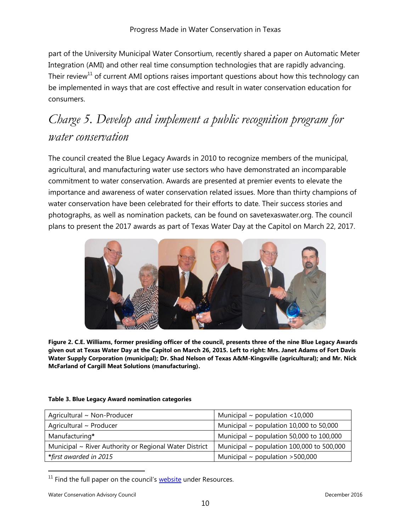part of the University Municipal Water Consortium, recently shared a paper on Automatic Meter Integration (AMI) and other real time consumption technologies that are rapidly advancing. Their review<sup>11</sup> of current AMI options raises important questions about how this technology can be implemented in ways that are cost effective and result in water conservation education for consumers.

### *Charge 5. Develop and implement a public recognition program for water conservation*

The council created the Blue Legacy Awards in 2010 to recognize members of the municipal, agricultural, and manufacturing water use sectors who have demonstrated an incomparable commitment to water conservation. Awards are presented at premier events to elevate the importance and awareness of water conservation related issues. More than thirty champions of water conservation have been celebrated for their efforts to date. Their success stories and photographs, as well as nomination packets, can be found on savetexaswater.org. The council plans to present the 2017 awards as part of Texas Water Day at the Capitol on March 22, 2017.



**Figure 2. C.E. Williams, former presiding officer of the council, presents three of the nine Blue Legacy Awards given out at Texas Water Day at the Capitol on March 26, 2015. Left to right: Mrs. Janet Adams of Fort Davis Water Supply Corporation (municipal); Dr. Shad Nelson of Texas A&M-Kingsville (agricultural); and Mr. Nick McFarland of Cargill Meat Solutions (manufacturing).**

#### **Table 3. Blue Legacy Award nomination categories**

| Agricultural ~ Non-Producer                            | Municipal $\sim$ population <10,000            |  |  |  |
|--------------------------------------------------------|------------------------------------------------|--|--|--|
| Agricultural ~ Producer                                | Municipal $\sim$ population 10,000 to 50,000   |  |  |  |
| Manufacturing*                                         | Municipal $\sim$ population 50,000 to 100,000  |  |  |  |
| Municipal ~ River Authority or Regional Water District | Municipal $\sim$ population 100,000 to 500,000 |  |  |  |
| *first awarded in 2015                                 | Municipal $\sim$ population >500,000           |  |  |  |

 $11$  [Find](http://www.pecanstreet.org/) the full paper on the council's  $website$  $website$  $website$  under Resources.</u>

Water Conservation Advisory Council and the conservation Advisory Council and the conservation Advisory Council and the conservation of the conservation of the conservation of the conservation of the conservation of the co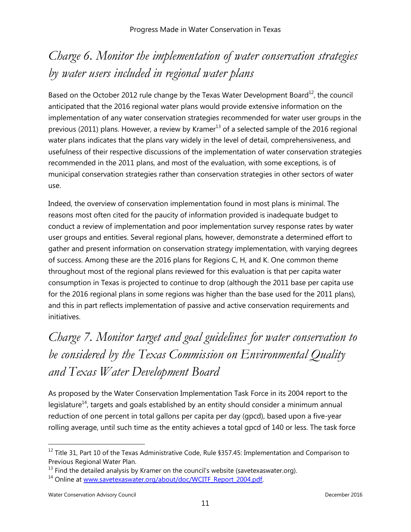# *Charge 6. Monitor the implementation of water conservation strategies by water users included in regional water plans*

Based on the October 2012 rule change by the Texas Water Development Board $^{12}$ , the council anticipated that the 2016 regional water plans would provide extensive information on the implementation of any water conservation strategies recommended for water user groups in the previous (2011) plans. However, a review by Kramer<sup>13</sup> of a selected sample of the 2016 regional water plans indicates that the plans vary widely in the level of detail, comprehensiveness, and usefulness of their respective discussions of the implementation of water conservation strategies recommended in the 2011 plans, and most of the evaluation, with some exceptions, is of municipal conservation strategies rather than conservation strategies in other sectors of water use.

Indeed, the overview of conservation implementation found in most plans is minimal. The reasons most often cited for the paucity of information provided is inadequate budget to conduct a review of implementation and poor implementation survey response rates by water user groups and entities. Several regional plans, however, demonstrate a determined effort to gather and present information on conservation strategy implementation, with varying degrees of success. Among these are the 2016 plans for Regions C, H, and K. One common theme throughout most of the regional plans reviewed for this evaluation is that per capita water consumption in Texas is projected to continue to drop (although the 2011 base per capita use for the 2016 regional plans in some regions was higher than the base used for the 2011 plans), and this in part reflects implementation of passive and active conservation requirements and initiatives.

# *Charge 7. Monitor target and goal guidelines for water conservation to be considered by the Texas Commission on Environmental Quality and Texas Water Development Board*

As proposed by the Water Conservation Implementation Task Force in its 2004 report to the legislature<sup>14</sup>, targets and goals established by an entity should consider a minimum annual reduction of one percent in total gallons per capita per day (gpcd), based upon a five-year rolling average, until such time as the entity achieves a total gpcd of 140 or less. The task force

 $12$  Title 31, Part 10 of the Texas Administrative Code, Rule §357.45: Implementation and Comparison to Previous Regional Water Plan.

 $13$  Find the detailed analysis by Kramer on the council's website (savetexaswater.org).

<sup>&</sup>lt;sup>14</sup> Online at [www.savetexaswater.org/about/doc/WCITF\\_Report\\_2004.pdf.](http://www.savetexaswater.org/about/doc/WCITF_Report_2004.pdf)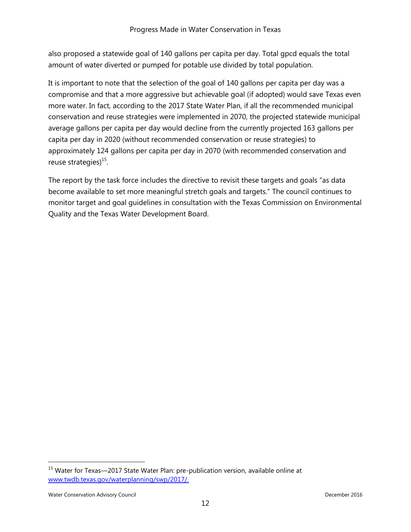also proposed a statewide goal of 140 gallons per capita per day. Total gpcd equals the total amount of water diverted or pumped for potable use divided by total population.

It is important to note that the selection of the goal of 140 gallons per capita per day was a compromise and that a more aggressive but achievable goal (if adopted) would save Texas even more water. In fact, according to the 2017 State Water Plan, if all the recommended municipal conservation and reuse strategies were implemented in 2070, the projected statewide municipal average gallons per capita per day would decline from the currently projected 163 gallons per capita per day in 2020 (without recommended conservation or reuse strategies) to approximately 124 gallons per capita per day in 2070 (with recommended conservation and reuse strategies)<sup>15</sup>.

The report by the task force includes the directive to revisit these targets and goals "as data become available to set more meaningful stretch goals and targets." The council continues to monitor target and goal guidelines in consultation with the Texas Commission on Environmental Quality and the Texas Water Development Board.

 $\overline{a}$ 

 $15$  Water for Texas—2017 State Water Plan: pre-publication version, available online at [www.twdb.texas.gov/waterplanning/swp/2017/.](http://www.twdb.texas.gov/waterplanning/swp/2017/index.asp)

Water Conservation Advisory Council and the conservation Advisory Council and the conservation Advisory Council and the conservation of the conservation of the conservation of the conservation of the conservation of the co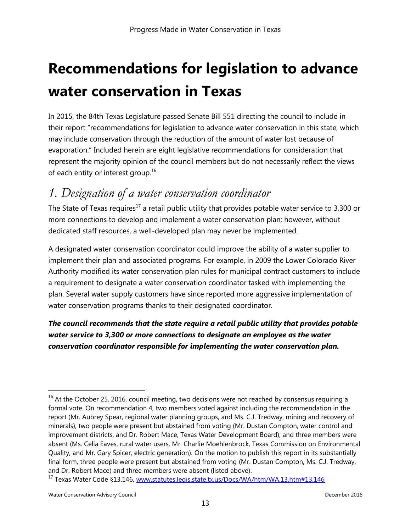# **Recommendations for legislation to advance water conservation in Texas**

In 2015, the 84th Texas Legislature passed Senate Bill 551 directing the council to include in their report "recommendations for legislation to advance water conservation in this state, which may include conservation through the reduction of the amount of water lost because of evaporation." Included herein are eight legislative recommendations for consideration that represent the majority opinion of the council members but do not necessarily reflect the views of each entity or interest group.<sup>16</sup>

### *1. Designation of a water conservation coordinator*

The State of Texas requires<sup>17</sup> a retail public utility that provides potable water service to 3,300 or more connections to develop and implement a water conservation plan; however, without dedicated staff resources, a well-developed plan may never be implemented.

A designated water conservation coordinator could improve the ability of a water supplier to implement their plan and associated programs. For example, in 2009 the Lower Colorado River Authority modified its water conservation plan rules for municipal contract customers to include a requirement to designate a water conservation coordinator tasked with implementing the plan. Several water supply customers have since reported more aggressive implementation of water conservation programs thanks to their designated coordinator.

### *The council recommends that the state require a retail public utility that provides potable water service to 3,300 or more connections to designate an employee as the water conservation coordinator responsible for implementing the water conservation plan.*

 $16$  At the October 25, 2016, council meeting, two decisions were not reached by consensus requiring a formal vote. On recommendation 4, two members voted against including the recommendation in the report (Mr. Aubrey Spear, regional water planning groups, and Ms. C.J. Tredway, mining and recovery of minerals); two people were present but abstained from voting (Mr. Dustan Compton, water control and improvement districts, and Dr. Robert Mace, Texas Water Development Board); and three members were absent (Ms. Celia Eaves, rural water users, Mr. Charlie Moehlenbrock, Texas Commission on Environmental Quality, and Mr. Gary Spicer, electric generation). On the motion to publish this report in its substantially final form, three people were present but abstained from voting (Mr. Dustan Compton, Ms. C.J. Tredway, and Dr. Robert Mace) and three members were absent (listed above).

<sup>&</sup>lt;sup>17</sup> Texas Water Code §13.146, [www.statutes.legis.state.tx.us/Docs/WA/htm/WA.13.htm#13.146](http://www.statutes.legis.state.tx.us/Docs/WA/htm/WA.13.htm#13.146)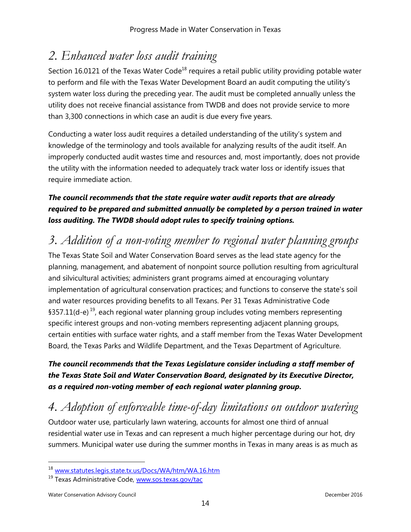### *2. Enhanced water loss audit training*

Section 16.0121 of the Texas Water Code<sup>18</sup> requires a retail public utility providing potable water to perform and file with the Texas Water Development Board an audit computing the utility's system water loss during the preceding year. The audit must be completed annually unless the utility does not receive financial assistance from TWDB and does not provide service to more than 3,300 connections in which case an audit is due every five years.

Conducting a water loss audit requires a detailed understanding of the utility's system and knowledge of the terminology and tools available for analyzing results of the audit itself. An improperly conducted audit wastes time and resources and, most importantly, does not provide the utility with the information needed to adequately track water loss or identify issues that require immediate action.

### *The council recommends that the state require water audit reports that are already required to be prepared and submitted annually be completed by a person trained in water loss auditing. The TWDB should adopt rules to specify training options.*

### *3. Addition of a non-voting member to regional water planning groups*

The Texas State Soil and Water Conservation Board serves as the lead state agency for the planning, management, and abatement of nonpoint source pollution resulting from agricultural and silvicultural activities; administers grant programs aimed at encouraging voluntary implementation of agricultural conservation practices; and functions to conserve the state's soil and water resources providing benefits to all Texans. Per 31 Texas Administrative Code §357.11(d-e)<sup>19</sup>, each regional water planning group includes voting members representing specific interest groups and non-voting members representing adjacent planning groups, certain entities with surface water rights, and a staff member from the Texas Water Development Board, the Texas Parks and Wildlife Department, and the Texas Department of Agriculture.

### *The council recommends that the Texas Legislature consider including a staff member of the Texas State Soil and Water Conservation Board, designated by its Executive Director, as a required non-voting member of each regional water planning group.*

# *4. Adoption of enforceable time-of-day limitations on outdoor watering*

Outdoor water use, particularly lawn watering, accounts for almost one third of annual residential water use in Texas and can represent a much higher percentage during our hot, dry summers. Municipal water use during the summer months in Texas in many areas is as much as

 $\overline{a}$ 

<sup>18</sup> [www.statutes.legis.state.tx.us/Docs/WA/htm/WA.16.htm](http://www.statutes.legis.state.tx.us/Docs/WA/htm/WA.16.htm)

<sup>19</sup> Texas Administrative Code, [www.sos.texas.gov/tac](http://www.sos.texas.gov/tac/)

Water Conservation Advisory Council and the conservation Advisory Council and the conservation Advisory Council and the conservation of the conservation of the conservation of the conservation of the conservation of the co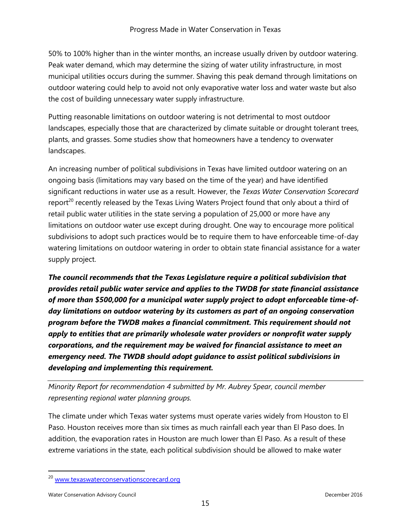50% to 100% higher than in the winter months, an increase usually driven by outdoor watering. Peak water demand, which may determine the sizing of water utility infrastructure, in most municipal utilities occurs during the summer. Shaving this peak demand through limitations on outdoor watering could help to avoid not only evaporative water loss and water waste but also the cost of building unnecessary water supply infrastructure.

Putting reasonable limitations on outdoor watering is not detrimental to most outdoor landscapes, especially those that are characterized by climate suitable or drought tolerant trees, plants, and grasses. Some studies show that homeowners have a tendency to overwater landscapes.

An increasing number of political subdivisions in Texas have limited outdoor watering on an ongoing basis (limitations may vary based on the time of the year) and have identified significant reductions in water use as a result. However, the *Texas Water Conservation Scorecard*  report<sup>20</sup> recently released by the Texas Living Waters Project found that only about a third of retail public water utilities in the state serving a population of 25,000 or more have any limitations on outdoor water use except during drought. One way to encourage more political subdivisions to adopt such practices would be to require them to have enforceable time-of-day watering limitations on outdoor watering in order to obtain state financial assistance for a water supply project.

*The council recommends that the Texas Legislature require a political subdivision that provides retail public water service and applies to the TWDB for state financial assistance of more than \$500,000 for a municipal water supply project to adopt enforceable time-ofday limitations on outdoor watering by its customers as part of an ongoing conservation program before the TWDB makes a financial commitment. This requirement should not apply to entities that are primarily wholesale water providers or nonprofit water supply corporations, and the requirement may be waived for financial assistance to meet an emergency need. The TWDB should adopt guidance to assist political subdivisions in developing and implementing this requirement.*

*Minority Report for recommendation 4 submitted by Mr. Aubrey Spear, council member representing regional water planning groups.*

The climate under which Texas water systems must operate varies widely from Houston to El Paso. Houston receives more than six times as much rainfall each year than El Paso does. In addition, the evaporation rates in Houston are much lower than El Paso. As a result of these extreme variations in the state, each political subdivision should be allowed to make water

<sup>&</sup>lt;sup>20</sup> ww<u>w.texaswaterconservationscorecard.org</u>

Water Conservation Advisory Council and the conservation Advisory Council and the conservation Advisory Council and the conservation of the conservation of the conservation of the conservation of the conservation of the co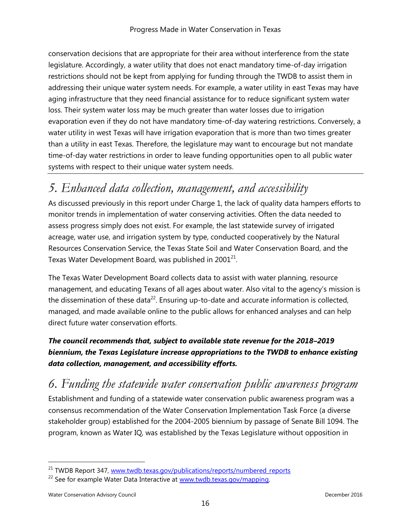conservation decisions that are appropriate for their area without interference from the state legislature. Accordingly, a water utility that does not enact mandatory time-of-day irrigation restrictions should not be kept from applying for funding through the TWDB to assist them in addressing their unique water system needs. For example, a water utility in east Texas may have aging infrastructure that they need financial assistance for to reduce significant system water loss. Their system water loss may be much greater than water losses due to irrigation evaporation even if they do not have mandatory time-of-day watering restrictions. Conversely, a water utility in west Texas will have irrigation evaporation that is more than two times greater than a utility in east Texas. Therefore, the legislature may want to encourage but not mandate time-of-day water restrictions in order to leave funding opportunities open to all public water systems with respect to their unique water system needs.

### *5. Enhanced data collection, management, and accessibility*

As discussed previously in this report under Charge 1, the lack of quality data hampers efforts to monitor trends in implementation of water conserving activities. Often the data needed to assess progress simply does not exist. For example, the last statewide survey of irrigated acreage, water use, and irrigation system by type, conducted cooperatively by the Natural Resources Conservation Service, the Texas State Soil and Water Conservation Board, and the Texas Water Development Board, was published in 2001<sup>21</sup>.

The Texas Water Development Board collects data to assist with water planning, resource management, and educating Texans of all ages about water. Also vital to the agency's mission is the dissemination of these data<sup>22</sup>. Ensuring up-to-date and accurate information is collected, managed, and made available online to the public allows for enhanced analyses and can help direct future water conservation efforts.

### *The council recommends that, subject to available state revenue for the 2018–2019 biennium, the Texas Legislature increase appropriations to the TWDB to enhance existing data collection, management, and accessibility efforts.*

*6. Funding the statewide water conservation public awareness program*

Establishment and funding of a statewide water conservation public awareness program was a consensus recommendation of the Water Conservation Implementation Task Force (a diverse stakeholder group) established for the 2004-2005 biennium by passage of Senate Bill 1094. The program, known as Water IQ, was established by the Texas Legislature without opposition in

 $\overline{a}$ 

<sup>&</sup>lt;sup>21</sup> TWDB Report 347, [www.twdb.texas.gov/publications/reports/numbered\\_reports](http://www.twdb.texas.gov/publications/reports/numbered_reports/index.asp)

<sup>&</sup>lt;sup>22</sup> See for example Water Data Interactive at [www.twdb.texas.gov/mapping.](http://www.twdb.texas.gov/mapping/index.asp)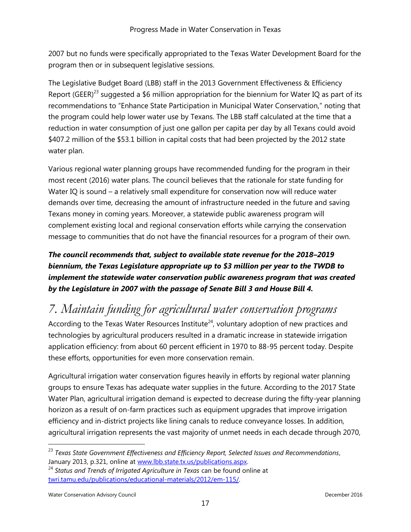2007 but no funds were specifically appropriated to the Texas Water Development Board for the program then or in subsequent legislative sessions.

The Legislative Budget Board (LBB) staff in the 2013 Government Effectiveness & Efficiency Report (GEER)<sup>23</sup> suggested a \$6 million appropriation for the biennium for Water IQ as part of its recommendations to "Enhance State Participation in Municipal Water Conservation," noting that the program could help lower water use by Texans. The LBB staff calculated at the time that a reduction in water consumption of just one gallon per capita per day by all Texans could avoid \$407.2 million of the \$53.1 billion in capital costs that had been projected by the 2012 state water plan.

Various regional water planning groups have recommended funding for the program in their most recent (2016) water plans. The council believes that the rationale for state funding for Water IQ is sound – a relatively small expenditure for conservation now will reduce water demands over time, decreasing the amount of infrastructure needed in the future and saving Texans money in coming years. Moreover, a statewide public awareness program will complement existing local and regional conservation efforts while carrying the conservation message to communities that do not have the financial resources for a program of their own.

*The council recommends that, subject to available state revenue for the 2018–2019 biennium, the Texas Legislature appropriate up to \$3 million per year to the TWDB to implement the statewide water conservation public awareness program that was created by the Legislature in 2007 with the passage of Senate Bill 3 and House Bill 4.*

### *7. Maintain funding for agricultural water conservation programs*

According to the Texas Water Resources Institute<sup>24</sup>, voluntary adoption of new practices and technologies by agricultural producers resulted in a dramatic increase in statewide irrigation application efficiency: from about 60 percent efficient in 1970 to 88-95 percent today. Despite these efforts, opportunities for even more conservation remain.

Agricultural irrigation water conservation figures heavily in efforts by regional water planning groups to ensure Texas has adequate water supplies in the future. According to the 2017 State Water Plan, agricultural irrigation demand is expected to decrease during the fifty-year planning horizon as a result of on-farm practices such as equipment upgrades that improve irrigation efficiency and in-district projects like lining canals to reduce conveyance losses. In addition, agricultural irrigation represents the vast majority of unmet needs in each decade through 2070,

Water Conservation Advisory Council and the conservation Advisory Council and the conservation Advisory Council and the conservation of the conservation of the conservation of the conservation of the conservation of the co

<sup>23</sup> *Texas State Government Effectiveness and Efficiency Report, Selected Issues and Recommendations*, January 2013, p.321, online at [www.lbb.state.tx.us/publications.aspx.](http://www.lbb.state.tx.us/publications.aspx)

<sup>24</sup> *Status and Trends of Irrigated Agriculture in Texas* can be found online at [twri.tamu.edu/publications/educational-materials/2012/em-115/.](http://twri.tamu.edu/publications/educational-materials/2012/em-115/)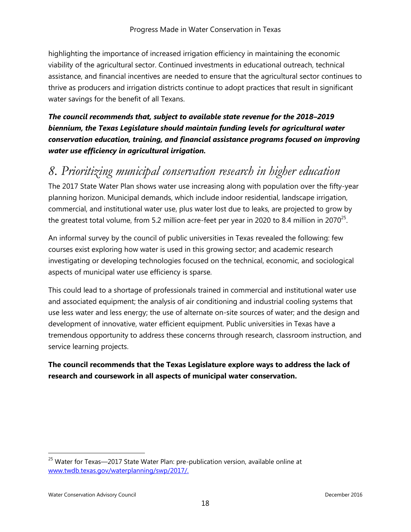highlighting the importance of increased irrigation efficiency in maintaining the economic viability of the agricultural sector. Continued investments in educational outreach, technical assistance, and financial incentives are needed to ensure that the agricultural sector continues to thrive as producers and irrigation districts continue to adopt practices that result in significant water savings for the benefit of all Texans.

*The council recommends that, subject to available state revenue for the 2018–2019 biennium, the Texas Legislature should maintain funding levels for agricultural water conservation education, training, and financial assistance programs focused on improving water use efficiency in agricultural irrigation.*

### *8. Prioritizing municipal conservation research in higher education*

The 2017 State Water Plan shows water use increasing along with population over the fifty-year planning horizon. Municipal demands, which include indoor residential, landscape irrigation, commercial, and institutional water use, plus water lost due to leaks, are projected to grow by the greatest total volume, from 5.2 million acre-feet per year in 2020 to 8.4 million in 2070<sup>25</sup>.

An informal survey by the council of public universities in Texas revealed the following: few courses exist exploring how water is used in this growing sector; and academic research investigating or developing technologies focused on the technical, economic, and sociological aspects of municipal water use efficiency is sparse.

This could lead to a shortage of professionals trained in commercial and institutional water use and associated equipment; the analysis of air conditioning and industrial cooling systems that use less water and less energy; the use of alternate on-site sources of water; and the design and development of innovative, water efficient equipment. Public universities in Texas have a tremendous opportunity to address these concerns through research, classroom instruction, and service learning projects.

### **The council recommends that the Texas Legislature explore ways to address the lack of research and coursework in all aspects of municipal water conservation.**

<sup>&</sup>lt;sup>25</sup> Water for Texas-2017 State Water Plan: pre-publication version, available online at [www.twdb.texas.gov/waterplanning/swp/2017/.](http://www.twdb.texas.gov/waterplanning/swp/2017/index.asp)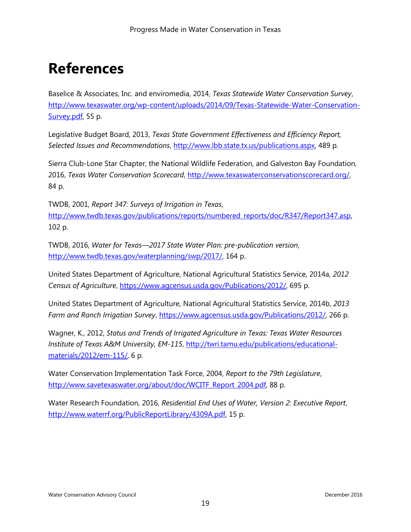# **References**

Baselice & Associates, Inc. and enviromedia, 2014, *Texas Statewide Water Conservation Survey*, [http://www.texaswater.org/wp-content/uploads/2014/09/Texas-Statewide-Water-Conservation-](http://www.texaswater.org/wp-content/uploads/2014/09/Texas-Statewide-Water-Conservation-Survey.pdf)[Survey.pdf,](http://www.texaswater.org/wp-content/uploads/2014/09/Texas-Statewide-Water-Conservation-Survey.pdf) 55 p.

Legislative Budget Board, 2013, *Texas State Government Effectiveness and Efficiency Report, Selected Issues and Recommendations*, [http://www.lbb.state.tx.us/publications.aspx,](http://www.lbb.state.tx.us/publications.aspx) 489 p.

Sierra Club-Lone Star Chapter, the National Wildlife Federation, and Galveston Bay Foundation, 2016, *Texas Water Conservation Scorecard*, [http://www.texaswaterconservationscorecard.org/,](http://www.texaswaterconservationscorecard.org/) 84 p.

TWDB, 2001, *Report 347: Surveys of Irrigation in Texas*, [http://www.twdb.texas.gov/publications/reports/numbered\\_reports/doc/R347/Report347.asp,](http://www.twdb.texas.gov/publications/reports/numbered_reports/doc/R347/Report347.asp) 102 p.

TWDB, 2016, *Water for Texas—2017 State Water Plan: pre-publication version*, [http://www.twdb.texas.gov/waterplanning/swp/2017/,](http://www.twdb.texas.gov/waterplanning/swp/2017/) 164 p.

United States Department of Agriculture, National Agricultural Statistics Service, 2014a, *2012 Census of Agriculture*, [https://www.agcensus.usda.gov/Publications/2012/,](https://www.agcensus.usda.gov/Publications/2012/) 695 p.

United States Department of Agriculture, National Agricultural Statistics Service, 2014b, *2013 Farm and Ranch Irrigation Survey*, [https://www.agcensus.usda.gov/Publications/2012/,](https://www.agcensus.usda.gov/Publications/2012/) 266 p.

Wagner, K., 2012, *Status and Trends of Irrigated Agriculture in Texas: Texas Water Resources Institute of Texas A&M University, EM-115*, [http://twri.tamu.edu/publications/educational](http://twri.tamu.edu/publications/educational-materials/2012/em-115/)[materials/2012/em-115/,](http://twri.tamu.edu/publications/educational-materials/2012/em-115/) 6 p.

Water Conservation Implementation Task Force, 2004, *Report to the 79th Legislature*, [http://www.savetexaswater.org/about/doc/WCITF\\_Report\\_2004.pdf,](http://www.savetexaswater.org/about/doc/WCITF_Report_2004.pdf) 88 p.

Water Research Foundation, 2016, *Residential End Uses of Water, Version 2: Executive Report*, [http://www.waterrf.org/PublicReportLibrary/4309A.pdf,](http://www.waterrf.org/PublicReportLibrary/4309A.pdf) 15 p.